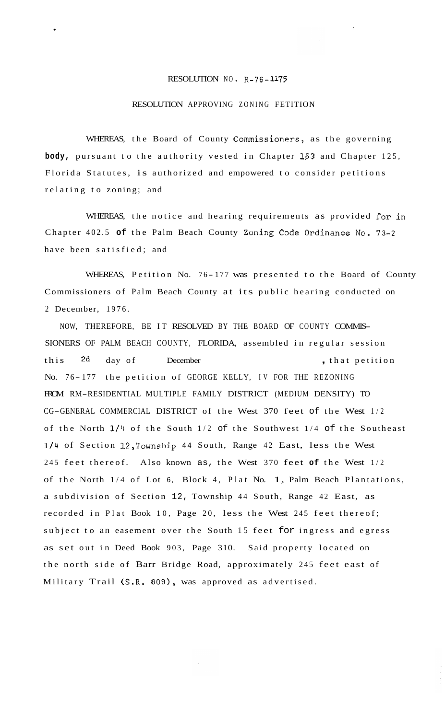## RESOLUTION NO. R-76-1175

## RESOLUTION APPROVING ZONING FETITION

WHEREAS, the Board of County Commissioners, as the governing **body,** pursuant to the authority vested in Chapter **163** and Chapter 125, Florida Statutes, is authorized and empowered to consider petitions relating to zoning; and

WHEREAS, the notice and hearing requirements as provided for in Chapter 402.5 **of** the Palm Beach County Zoning Code Ordinance No. 73-2 have been satisfied; and

WHEREAS, Petition No. 76-177 was presented to the Board of County Commissioners of Palm Beach County at its public hearing conducted on 2 December, 1976.

NOW, THEREFORE, BE IT RESOLVED BY THE BOARD OF COUNTY COMMIS-SIONERS OF PALM BEACH COUNTY, FLORIDA, assembled in regular session this 2d day of December , that petition No. 76-177 the petition of GEORGE KELLY, IV FOR THE REZONING FROM RM-RESIDENTIAL MULTIPLE FAMILY DISTRICT (MEDIUM DENSITY) TO CG-GENERAL COMMERCIAL DISTRICT of the West 370 feet of the West 1/2 of the North **1/4** of the South 1/2 of the Southwest 1/4 of the Southeast **1/4** of Section 12,Township 44 South, Range 42 East, less the West 245 feet thereof. Also known as, the West 370 feet **of** the West 1/2 of the North 1/4 of Lot 6, Block 4, Plat No. 1, Palm Beach Plantations, a subdivision of Section 12, Township 44 South, Range 42 East, as recorded in Plat Book 10, Page 20, less the West 245 feet thereof; subject to an easement over the South 15 feet for ingress and egress as set out in Deed Book 903, Page 310. Said property located on the north side of Barr Bridge Road, approximately 245 feet east of Military Trail (S.R. 809), was approved as advertised.